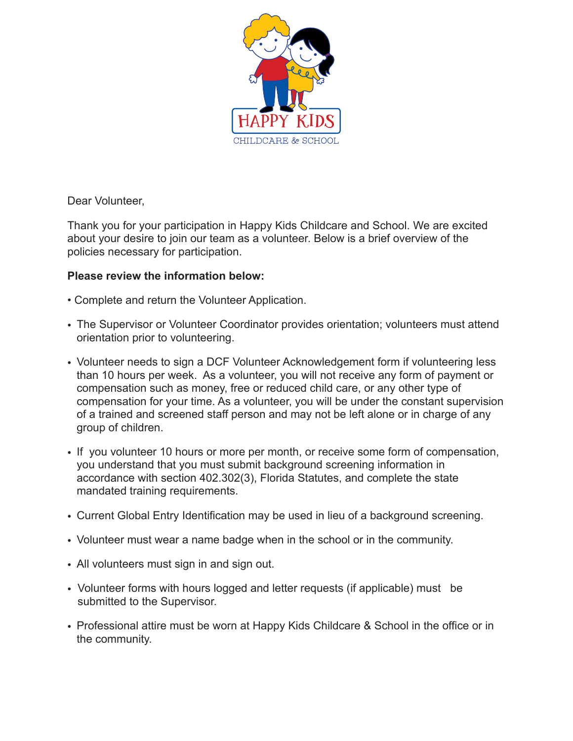

Dear Volunteer,

Thank you for your participation in Happy Kids Childcare and School. We are excited about your desire to join our team as a volunteer. Below is a brief overview of the policies necessary for participation.

## **Please review the information below:**

- Complete and return the Volunteer Application.
- The Supervisor or Volunteer Coordinator provides orientation; volunteers must attend orientation prior to volunteering.
- Volunteer needs to sign a DCF Volunteer Acknowledgement form if volunteering less than 10 hours per week. As a volunteer, you will not receive any form of payment or compensation such as money, free or reduced child care, or any other type of compensation for your time. As a volunteer, you will be under the constant supervision of a trained and screened staff person and may not be left alone or in charge of any group of children.
- If you volunteer 10 hours or more per month, or receive some form of compensation, you understand that you must submit background screening information in accordance with section 402.302(3), Florida Statutes, and complete the state mandated training requirements.
- Current Global Entry Identification may be used in lieu of a background screening.
- Volunteer must wear a name badge when in the school or in the community.
- All volunteers must sign in and sign out.
- Volunteer forms with hours logged and letter requests (if applicable) must be submitted to the Supervisor.
- Professional attire must be worn at Happy Kids Childcare & School in the office or in the community.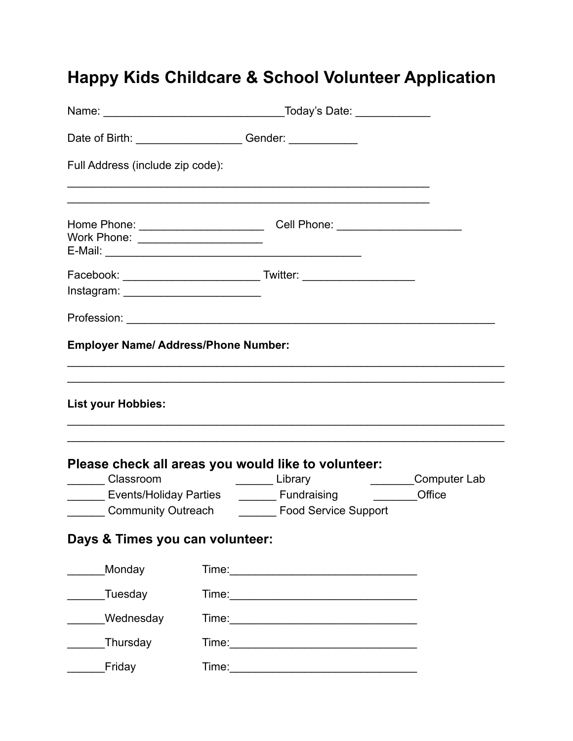## **Happy Kids Childcare & School Volunteer Application**

|                                                                                  | _Today's Date: _____________                                                     |              |
|----------------------------------------------------------------------------------|----------------------------------------------------------------------------------|--------------|
| Date of Birth: _______________________Gender: __________________________________ |                                                                                  |              |
| Full Address (include zip code):                                                 |                                                                                  |              |
| Work Phone: ________________________                                             | Home Phone: ___________________________________Cell Phone: _____________________ |              |
|                                                                                  |                                                                                  |              |
|                                                                                  |                                                                                  |              |
| <b>Employer Name/ Address/Phone Number:</b>                                      |                                                                                  |              |
| <b>List your Hobbies:</b>                                                        | Please check all areas you would like to volunteer:                              |              |
| ________ Classroom                                                               | Library                                                                          | Computer Lab |
| Community Outreach                                                               | Food Service Support                                                             | Office       |
| Days & Times you can volunteer:                                                  |                                                                                  |              |
| Monday                                                                           |                                                                                  |              |
| Tuesday                                                                          |                                                                                  |              |
| Wednesday                                                                        |                                                                                  |              |
| Thursday                                                                         |                                                                                  |              |
| Friday                                                                           |                                                                                  |              |